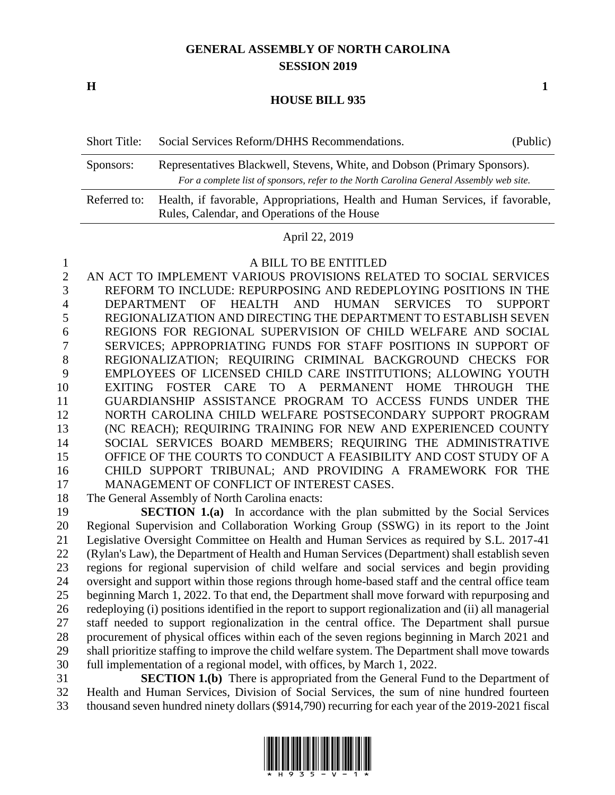# **GENERAL ASSEMBLY OF NORTH CAROLINA SESSION 2019**

**H 1**

### **HOUSE BILL 935**

| <b>Short Title:</b> | Social Services Reform/DHHS Recommendations. | (Public) |
|---------------------|----------------------------------------------|----------|
|---------------------|----------------------------------------------|----------|

| Sponsors:    | Representatives Blackwell, Stevens, White, and Dobson (Primary Sponsors).               |  |  |
|--------------|-----------------------------------------------------------------------------------------|--|--|
|              | For a complete list of sponsors, refer to the North Carolina General Assembly web site. |  |  |
| Referred to: | Health, if favorable, Appropriations, Health and Human Services, if favorable,          |  |  |
|              | Rules, Calendar, and Operations of the House                                            |  |  |

### April 22, 2019

### A BILL TO BE ENTITLED

 AN ACT TO IMPLEMENT VARIOUS PROVISIONS RELATED TO SOCIAL SERVICES REFORM TO INCLUDE: REPURPOSING AND REDEPLOYING POSITIONS IN THE DEPARTMENT OF HEALTH AND HUMAN SERVICES TO SUPPORT REGIONALIZATION AND DIRECTING THE DEPARTMENT TO ESTABLISH SEVEN REGIONS FOR REGIONAL SUPERVISION OF CHILD WELFARE AND SOCIAL SERVICES; APPROPRIATING FUNDS FOR STAFF POSITIONS IN SUPPORT OF REGIONALIZATION; REQUIRING CRIMINAL BACKGROUND CHECKS FOR EMPLOYEES OF LICENSED CHILD CARE INSTITUTIONS; ALLOWING YOUTH EXITING FOSTER CARE TO A PERMANENT HOME THROUGH THE GUARDIANSHIP ASSISTANCE PROGRAM TO ACCESS FUNDS UNDER THE NORTH CAROLINA CHILD WELFARE POSTSECONDARY SUPPORT PROGRAM (NC REACH); REQUIRING TRAINING FOR NEW AND EXPERIENCED COUNTY SOCIAL SERVICES BOARD MEMBERS; REQUIRING THE ADMINISTRATIVE OFFICE OF THE COURTS TO CONDUCT A FEASIBILITY AND COST STUDY OF A CHILD SUPPORT TRIBUNAL; AND PROVIDING A FRAMEWORK FOR THE MANAGEMENT OF CONFLICT OF INTEREST CASES.

The General Assembly of North Carolina enacts:

 **SECTION 1.(a)** In accordance with the plan submitted by the Social Services Regional Supervision and Collaboration Working Group (SSWG) in its report to the Joint Legislative Oversight Committee on Health and Human Services as required by S.L. 2017-41 (Rylan's Law), the Department of Health and Human Services (Department) shall establish seven regions for regional supervision of child welfare and social services and begin providing oversight and support within those regions through home-based staff and the central office team beginning March 1, 2022. To that end, the Department shall move forward with repurposing and redeploying (i) positions identified in the report to support regionalization and (ii) all managerial staff needed to support regionalization in the central office. The Department shall pursue procurement of physical offices within each of the seven regions beginning in March 2021 and shall prioritize staffing to improve the child welfare system. The Department shall move towards full implementation of a regional model, with offices, by March 1, 2022.

 **SECTION 1.(b)** There is appropriated from the General Fund to the Department of Health and Human Services, Division of Social Services, the sum of nine hundred fourteen thousand seven hundred ninety dollars (\$914,790) recurring for each year of the 2019-2021 fiscal

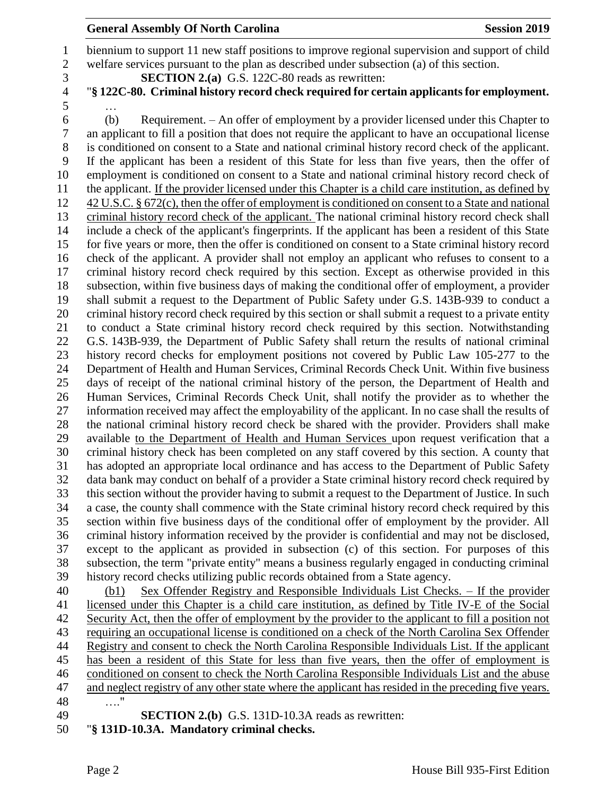## **General Assembly Of North Carolina Session 2019 Session 2019**

 biennium to support 11 new staff positions to improve regional supervision and support of child welfare services pursuant to the plan as described under subsection (a) of this section.

- **SECTION 2.(a)** G.S. 122C-80 reads as rewritten:
- "**§ 122C-80. Criminal history record check required for certain applicants for employment.** …
- (b) Requirement. An offer of employment by a provider licensed under this Chapter to an applicant to fill a position that does not require the applicant to have an occupational license is conditioned on consent to a State and national criminal history record check of the applicant. If the applicant has been a resident of this State for less than five years, then the offer of employment is conditioned on consent to a State and national criminal history record check of the applicant. If the provider licensed under this Chapter is a child care institution, as defined by 42 U.S.C. § 672(c), then the offer of employment is conditioned on consent to a State and national criminal history record check of the applicant. The national criminal history record check shall include a check of the applicant's fingerprints. If the applicant has been a resident of this State for five years or more, then the offer is conditioned on consent to a State criminal history record check of the applicant. A provider shall not employ an applicant who refuses to consent to a criminal history record check required by this section. Except as otherwise provided in this subsection, within five business days of making the conditional offer of employment, a provider shall submit a request to the Department of Public Safety under G.S. 143B-939 to conduct a criminal history record check required by this section or shall submit a request to a private entity to conduct a State criminal history record check required by this section. Notwithstanding G.S. 143B-939, the Department of Public Safety shall return the results of national criminal history record checks for employment positions not covered by Public Law 105-277 to the Department of Health and Human Services, Criminal Records Check Unit. Within five business days of receipt of the national criminal history of the person, the Department of Health and Human Services, Criminal Records Check Unit, shall notify the provider as to whether the information received may affect the employability of the applicant. In no case shall the results of the national criminal history record check be shared with the provider. Providers shall make available to the Department of Health and Human Services upon request verification that a criminal history check has been completed on any staff covered by this section. A county that has adopted an appropriate local ordinance and has access to the Department of Public Safety data bank may conduct on behalf of a provider a State criminal history record check required by this section without the provider having to submit a request to the Department of Justice. In such a case, the county shall commence with the State criminal history record check required by this section within five business days of the conditional offer of employment by the provider. All criminal history information received by the provider is confidential and may not be disclosed, except to the applicant as provided in subsection (c) of this section. For purposes of this subsection, the term "private entity" means a business regularly engaged in conducting criminal history record checks utilizing public records obtained from a State agency.

 (b1) Sex Offender Registry and Responsible Individuals List Checks. – If the provider licensed under this Chapter is a child care institution, as defined by Title IV-E of the Social Security Act, then the offer of employment by the provider to the applicant to fill a position not requiring an occupational license is conditioned on a check of the North Carolina Sex Offender Registry and consent to check the North Carolina Responsible Individuals List. If the applicant has been a resident of this State for less than five years, then the offer of employment is conditioned on consent to check the North Carolina Responsible Individuals List and the abuse and neglect registry of any other state where the applicant has resided in the preceding five years. …." **SECTION 2.(b)** G.S. 131D-10.3A reads as rewritten:

- 
- "**§ 131D-10.3A. Mandatory criminal checks.**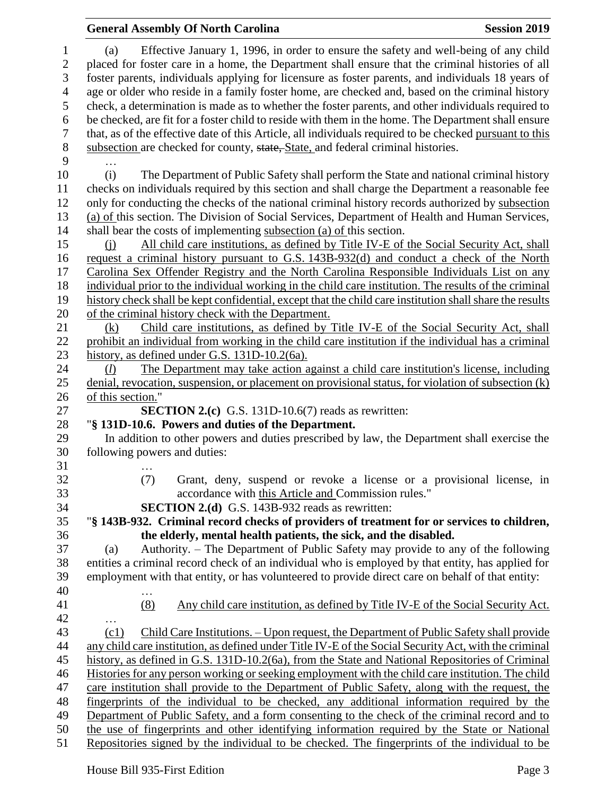|                                       | <b>General Assembly Of North Carolina</b>                                                                                                                                                                                                                                                            | <b>Session 2019</b> |
|---------------------------------------|------------------------------------------------------------------------------------------------------------------------------------------------------------------------------------------------------------------------------------------------------------------------------------------------------|---------------------|
| $\mathbf{1}$<br>$\boldsymbol{2}$<br>3 | Effective January 1, 1996, in order to ensure the safety and well-being of any child<br>(a)<br>placed for foster care in a home, the Department shall ensure that the criminal histories of all<br>foster parents, individuals applying for licensure as foster parents, and individuals 18 years of |                     |
| 4                                     | age or older who reside in a family foster home, are checked and, based on the criminal history                                                                                                                                                                                                      |                     |
| 5                                     | check, a determination is made as to whether the foster parents, and other individuals required to                                                                                                                                                                                                   |                     |
| 6                                     | be checked, are fit for a foster child to reside with them in the home. The Department shall ensure                                                                                                                                                                                                  |                     |
| 7                                     | that, as of the effective date of this Article, all individuals required to be checked pursuant to this                                                                                                                                                                                              |                     |
| $8\,$                                 | subsection are checked for county, state, State, and federal criminal histories.                                                                                                                                                                                                                     |                     |
| 9                                     |                                                                                                                                                                                                                                                                                                      |                     |
| 10                                    | The Department of Public Safety shall perform the State and national criminal history<br>(i)                                                                                                                                                                                                         |                     |
| 11                                    | checks on individuals required by this section and shall charge the Department a reasonable fee                                                                                                                                                                                                      |                     |
| 12                                    | only for conducting the checks of the national criminal history records authorized by subsection                                                                                                                                                                                                     |                     |
| 13                                    | (a) of this section. The Division of Social Services, Department of Health and Human Services,                                                                                                                                                                                                       |                     |
| 14                                    | shall bear the costs of implementing subsection (a) of this section.                                                                                                                                                                                                                                 |                     |
| 15                                    | All child care institutions, as defined by Title IV-E of the Social Security Act, shall<br>(i)                                                                                                                                                                                                       |                     |
| 16                                    | request a criminal history pursuant to G.S. 143B-932(d) and conduct a check of the North                                                                                                                                                                                                             |                     |
| 17                                    | Carolina Sex Offender Registry and the North Carolina Responsible Individuals List on any                                                                                                                                                                                                            |                     |
| 18                                    | individual prior to the individual working in the child care institution. The results of the criminal                                                                                                                                                                                                |                     |
| 19                                    | history check shall be kept confidential, except that the child care institution shall share the results                                                                                                                                                                                             |                     |
| 20                                    | of the criminal history check with the Department.                                                                                                                                                                                                                                                   |                     |
| 21                                    | Child care institutions, as defined by Title IV-E of the Social Security Act, shall<br>(k)                                                                                                                                                                                                           |                     |
| 22                                    | prohibit an individual from working in the child care institution if the individual has a criminal                                                                                                                                                                                                   |                     |
| 23                                    | history, as defined under G.S. 131D-10.2(6a).                                                                                                                                                                                                                                                        |                     |
| 24                                    | The Department may take action against a child care institution's license, including<br>(l)                                                                                                                                                                                                          |                     |
| 25                                    | denial, revocation, suspension, or placement on provisional status, for violation of subsection $(k)$                                                                                                                                                                                                |                     |
| 26                                    | of this section."                                                                                                                                                                                                                                                                                    |                     |
| 27                                    | <b>SECTION 2.(c)</b> G.S. 131D-10.6(7) reads as rewritten:                                                                                                                                                                                                                                           |                     |
| 28                                    | "§ 131D-10.6. Powers and duties of the Department.                                                                                                                                                                                                                                                   |                     |
| 29                                    | In addition to other powers and duties prescribed by law, the Department shall exercise the                                                                                                                                                                                                          |                     |
| 30                                    | following powers and duties:                                                                                                                                                                                                                                                                         |                     |
| 31                                    |                                                                                                                                                                                                                                                                                                      |                     |
| 32                                    | Grant, deny, suspend or revoke a license or a provisional license, in<br>(7)                                                                                                                                                                                                                         |                     |
| 33                                    | accordance with this Article and Commission rules."                                                                                                                                                                                                                                                  |                     |
| 34<br>35                              | <b>SECTION 2.(d)</b> G.S. 143B-932 reads as rewritten:<br>"§ 143B-932. Criminal record checks of providers of treatment for or services to children,                                                                                                                                                 |                     |
| 36                                    | the elderly, mental health patients, the sick, and the disabled.                                                                                                                                                                                                                                     |                     |
| 37                                    | Authority. – The Department of Public Safety may provide to any of the following<br>(a)                                                                                                                                                                                                              |                     |
| 38                                    | entities a criminal record check of an individual who is employed by that entity, has applied for                                                                                                                                                                                                    |                     |
| 39                                    | employment with that entity, or has volunteered to provide direct care on behalf of that entity:                                                                                                                                                                                                     |                     |
| 40                                    |                                                                                                                                                                                                                                                                                                      |                     |
| 41                                    | $\cdots$<br>(8)<br>Any child care institution, as defined by Title IV-E of the Social Security Act.                                                                                                                                                                                                  |                     |
| 42                                    |                                                                                                                                                                                                                                                                                                      |                     |
| 43                                    | Child Care Institutions. – Upon request, the Department of Public Safety shall provide<br>(c1)                                                                                                                                                                                                       |                     |
| 44                                    | any child care institution, as defined under Title IV-E of the Social Security Act, with the criminal                                                                                                                                                                                                |                     |
| 45                                    | history, as defined in G.S. 131D-10.2(6a), from the State and National Repositories of Criminal                                                                                                                                                                                                      |                     |
| 46                                    | Histories for any person working or seeking employment with the child care institution. The child                                                                                                                                                                                                    |                     |
| 47                                    | care institution shall provide to the Department of Public Safety, along with the request, the                                                                                                                                                                                                       |                     |
| 48                                    | fingerprints of the individual to be checked, any additional information required by the                                                                                                                                                                                                             |                     |
| 49                                    | Department of Public Safety, and a form consenting to the check of the criminal record and to                                                                                                                                                                                                        |                     |
| 50                                    | the use of fingerprints and other identifying information required by the State or National                                                                                                                                                                                                          |                     |
| 51                                    | Repositories signed by the individual to be checked. The fingerprints of the individual to be                                                                                                                                                                                                        |                     |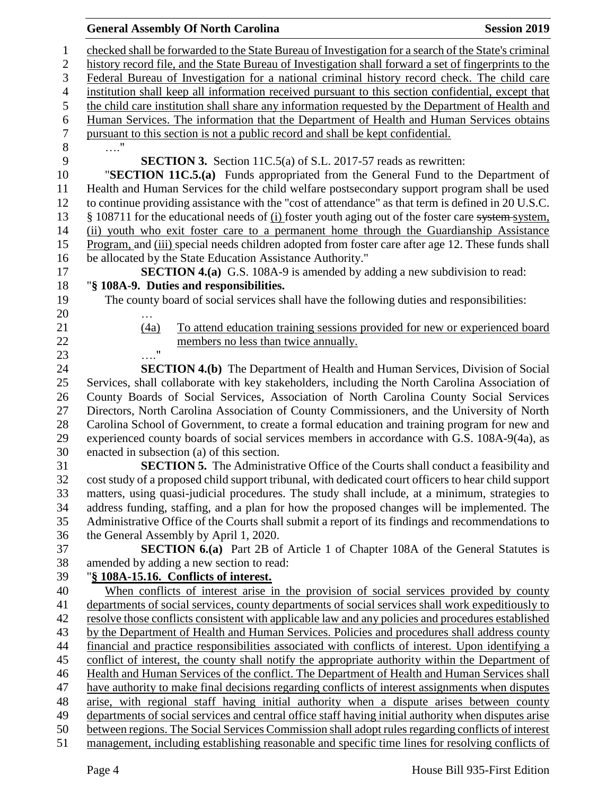### **General Assembly Of North Carolina Session 2019 Session 2019**

 checked shall be forwarded to the State Bureau of Investigation for a search of the State's criminal history record file, and the State Bureau of Investigation shall forward a set of fingerprints to the Federal Bureau of Investigation for a national criminal history record check. The child care institution shall keep all information received pursuant to this section confidential, except that the child care institution shall share any information requested by the Department of Health and Human Services. The information that the Department of Health and Human Services obtains pursuant to this section is not a public record and shall be kept confidential. …." **SECTION 3.** Section 11C.5(a) of S.L. 2017-57 reads as rewritten: "**SECTION 11C.5.(a)** Funds appropriated from the General Fund to the Department of Health and Human Services for the child welfare postsecondary support program shall be used to continue providing assistance with the "cost of attendance" as that term is defined in 20 U.S.C. 13 § 108711 for the educational needs of (i) foster youth aging out of the foster care system system, (ii) youth who exit foster care to a permanent home through the Guardianship Assistance Program, and (iii) special needs children adopted from foster care after age 12. These funds shall be allocated by the State Education Assistance Authority." **SECTION 4.(a)** G.S. 108A-9 is amended by adding a new subdivision to read: "**§ 108A-9. Duties and responsibilities.** The county board of social services shall have the following duties and responsibilities: … (4a) To attend education training sessions provided for new or experienced board members no less than twice annually. …." **SECTION 4.(b)** The Department of Health and Human Services, Division of Social Services, shall collaborate with key stakeholders, including the North Carolina Association of County Boards of Social Services, Association of North Carolina County Social Services Directors, North Carolina Association of County Commissioners, and the University of North Carolina School of Government, to create a formal education and training program for new and experienced county boards of social services members in accordance with G.S. 108A-9(4a), as enacted in subsection (a) of this section. **SECTION 5.** The Administrative Office of the Courts shall conduct a feasibility and cost study of a proposed child support tribunal, with dedicated court officers to hear child support matters, using quasi-judicial procedures. The study shall include, at a minimum, strategies to address funding, staffing, and a plan for how the proposed changes will be implemented. The Administrative Office of the Courts shall submit a report of its findings and recommendations to the General Assembly by April 1, 2020. **SECTION 6.(a)** Part 2B of Article 1 of Chapter 108A of the General Statutes is amended by adding a new section to read: "**§ 108A-15.16. Conflicts of interest.** When conflicts of interest arise in the provision of social services provided by county departments of social services, county departments of social services shall work expeditiously to resolve those conflicts consistent with applicable law and any policies and procedures established by the Department of Health and Human Services. Policies and procedures shall address county financial and practice responsibilities associated with conflicts of interest. Upon identifying a conflict of interest, the county shall notify the appropriate authority within the Department of Health and Human Services of the conflict. The Department of Health and Human Services shall have authority to make final decisions regarding conflicts of interest assignments when disputes arise, with regional staff having initial authority when a dispute arises between county departments of social services and central office staff having initial authority when disputes arise between regions. The Social Services Commission shall adopt rules regarding conflicts of interest management, including establishing reasonable and specific time lines for resolving conflicts of